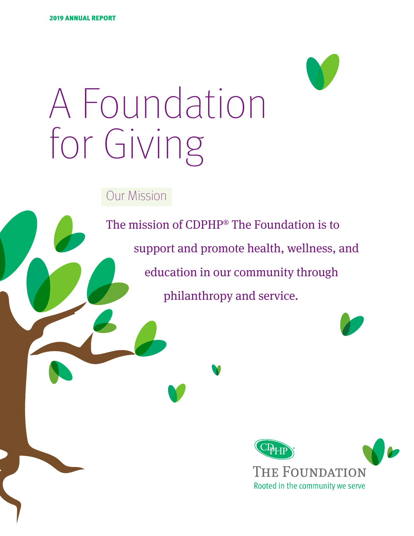

Our Mission

The mission of CDPHP® The Foundation is to support and promote health, wellness, and education in our community through philanthropy and service.

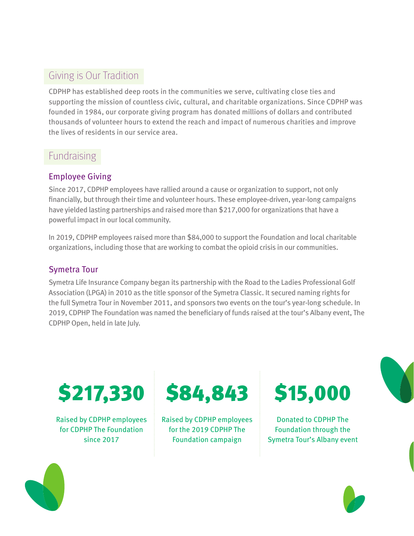# Giving is Our Tradition

CDPHP has established deep roots in the communities we serve, cultivating close ties and supporting the mission of countless civic, cultural, and charitable organizations. Since CDPHP was founded in 1984, our corporate giving program has donated millions of dollars and contributed thousands of volunteer hours to extend the reach and impact of numerous charities and improve the lives of residents in our service area.

### Fundraising

### Employee Giving

Since 2017, CDPHP employees have rallied around a cause or organization to support, not only financially, but through their time and volunteer hours. These employee-driven, year-long campaigns have yielded lasting partnerships and raised more than \$217,000 for organizations that have a powerful impact in our local community.

In 2019, CDPHP employees raised more than \$84,000 to support the Foundation and local charitable organizations, including those that are working to combat the opioid crisis in our communities.

### Symetra Tour

Symetra Life Insurance Company began its partnership with the Road to the Ladies Professional Golf Association (LPGA) in 2010 as the title sponsor of the Symetra Classic. It secured naming rights for the full Symetra Tour in November 2011, and sponsors two events on the tour's year-long schedule. In 2019, CDPHP The Foundation was named the beneficiary of funds raised at the tour's Albany event, The CDPHP Open, held in late July.



Raised by CDPHP employees for CDPHP The Foundation since 2017



Raised by CDPHP employees for the 2019 CDPHP The Foundation campaign



Donated to CDPHP The Foundation through the Symetra Tour's Albany event



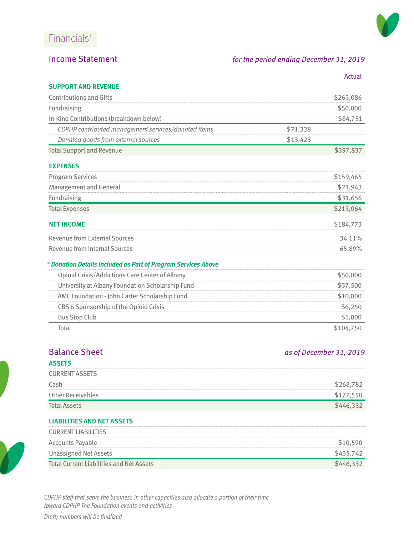

### Income Statement *for the period ending December 31, 2019*

|                                                               | Actual    |  |
|---------------------------------------------------------------|-----------|--|
| <b>SUPPORT AND REVENUE</b>                                    |           |  |
| <b>Contributions and Gifts</b>                                | \$263,086 |  |
| Fundraising                                                   | \$50,000  |  |
| In-Kind Contributions (breakdown below)                       | \$84,751  |  |
| CDPHP contributed management services/donated items           | \$71,328  |  |
| Donated goods from external sources                           | \$13,423  |  |
| <b>Total Support and Revenue</b>                              | \$397,837 |  |
| <b>EXPENSES</b>                                               |           |  |
| <b>Program Services</b>                                       | \$159,465 |  |
| <b>Management and General</b>                                 | \$21,943  |  |
| Fundraising                                                   | \$31,656  |  |
| <b>Total Expenses</b>                                         | \$213,064 |  |
| <b>NET INCOME</b>                                             | \$184,773 |  |
| <b>Revenue from External Sources</b>                          | 34.11%    |  |
| <b>Revenue from Internal Sources</b>                          | 65.89%    |  |
| * Donation Details Included as Part of Program Services Above |           |  |
| Opioid Crisis/Addictions Care Center of Albany                | \$50,000  |  |
| University at Albany Foundation Scholarship Fund              | \$37,500  |  |
| AMC Foundation - John Carter Scholarship Fund                 | \$10,000  |  |
| CBS 6 Sponsorship of the Opioid Crisis                        | \$6,250   |  |
| <b>Bus Stop Club</b>                                          | \$1,000   |  |
| Total                                                         | \$104,750 |  |

# **ASSETS**

### **Balance Sheet** *as of December 31, 2019*

| <b>ASSEIS</b>            |         |
|--------------------------|---------|
| <b>CURRENT ASSETS</b>    |         |
| Cash                     | \$268,7 |
| <b>Other Receivables</b> |         |
| <b>Total Assets</b>      |         |

#### **LIABILITIES AND NET ASSETS**

| <b>CURRENT LIABILITIES</b>                      |           |
|-------------------------------------------------|-----------|
| <b>Accounts Payable</b>                         | \$10,590  |
| Unassigned Net Assets                           | \$435.742 |
| <b>Total Current Liabilities and Net Assets</b> |           |

*CDPHP staff that serve the business in other capacities also allocate a portion of their time toward CDPHP The Foundation events and activities*